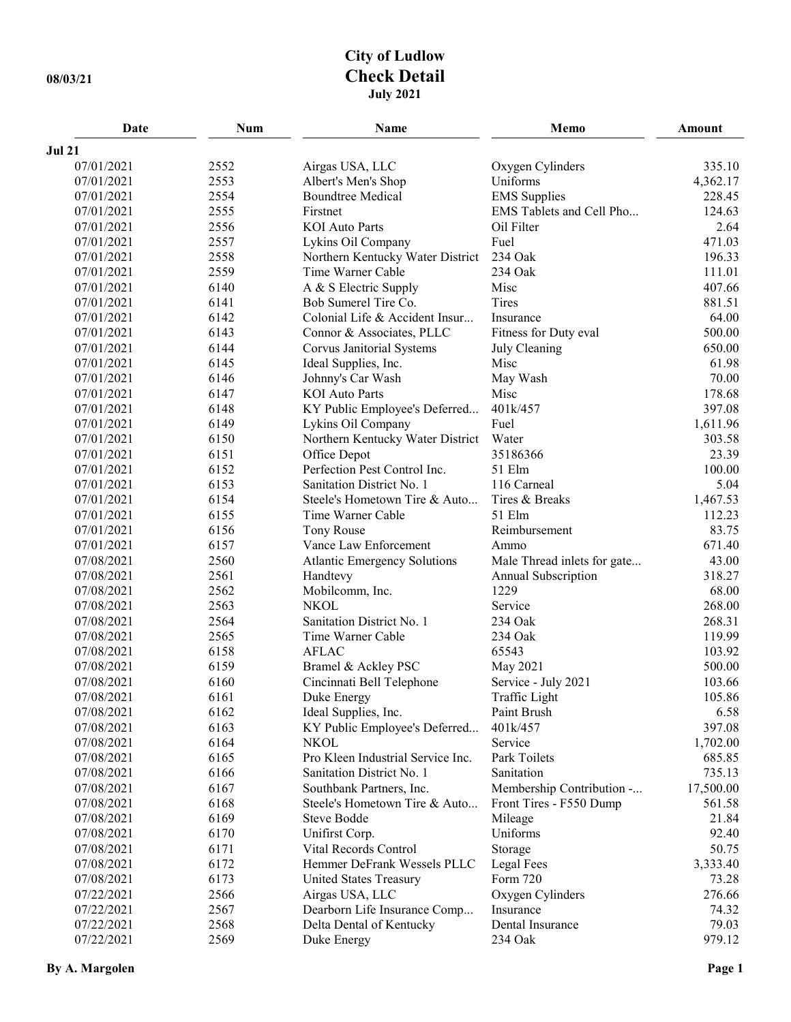## **City of Ludlow 08/03/21 Check Detail July 2021**

| Date          | <b>Num</b> | Name                                | Memo                        | <b>Amount</b> |
|---------------|------------|-------------------------------------|-----------------------------|---------------|
| <b>Jul 21</b> |            |                                     |                             |               |
| 07/01/2021    | 2552       | Airgas USA, LLC                     | Oxygen Cylinders            | 335.10        |
| 07/01/2021    | 2553       | Albert's Men's Shop                 | Uniforms                    | 4,362.17      |
| 07/01/2021    | 2554       | <b>Boundtree Medical</b>            | <b>EMS</b> Supplies         | 228.45        |
| 07/01/2021    | 2555       | Firstnet                            | EMS Tablets and Cell Pho    | 124.63        |
| 07/01/2021    | 2556       | <b>KOI</b> Auto Parts               | Oil Filter                  | 2.64          |
| 07/01/2021    | 2557       | Lykins Oil Company                  | Fuel                        | 471.03        |
| 07/01/2021    | 2558       | Northern Kentucky Water District    | 234 Oak                     | 196.33        |
| 07/01/2021    | 2559       | Time Warner Cable                   | 234 Oak                     | 111.01        |
| 07/01/2021    | 6140       | A & S Electric Supply               | Misc                        | 407.66        |
| 07/01/2021    | 6141       | Bob Sumerel Tire Co.                | Tires                       | 881.51        |
| 07/01/2021    | 6142       | Colonial Life & Accident Insur      | Insurance                   | 64.00         |
| 07/01/2021    | 6143       | Connor & Associates, PLLC           | Fitness for Duty eval       | 500.00        |
| 07/01/2021    | 6144       | Corvus Janitorial Systems           | July Cleaning               | 650.00        |
| 07/01/2021    | 6145       | Ideal Supplies, Inc.                | Misc                        | 61.98         |
| 07/01/2021    | 6146       | Johnny's Car Wash                   | May Wash                    | 70.00         |
| 07/01/2021    | 6147       | <b>KOI</b> Auto Parts               | Misc                        | 178.68        |
| 07/01/2021    | 6148       | KY Public Employee's Deferred       | 401k/457                    | 397.08        |
| 07/01/2021    | 6149       | Lykins Oil Company                  | Fuel                        | 1,611.96      |
| 07/01/2021    | 6150       | Northern Kentucky Water District    | Water                       | 303.58        |
| 07/01/2021    | 6151       | Office Depot                        | 35186366                    | 23.39         |
| 07/01/2021    | 6152       | Perfection Pest Control Inc.        | 51 Elm                      | 100.00        |
| 07/01/2021    | 6153       | Sanitation District No. 1           | 116 Carneal                 | 5.04          |
| 07/01/2021    | 6154       | Steele's Hometown Tire & Auto       | Tires & Breaks              | 1,467.53      |
| 07/01/2021    | 6155       | Time Warner Cable                   | 51 Elm                      | 112.23        |
| 07/01/2021    | 6156       | <b>Tony Rouse</b>                   | Reimbursement               | 83.75         |
| 07/01/2021    | 6157       | Vance Law Enforcement               | Ammo                        | 671.40        |
| 07/08/2021    | 2560       | <b>Atlantic Emergency Solutions</b> | Male Thread inlets for gate | 43.00         |
| 07/08/2021    | 2561       | Handtevy                            | Annual Subscription         | 318.27        |
| 07/08/2021    | 2562       | Mobilcomm, Inc.                     | 1229                        | 68.00         |
| 07/08/2021    | 2563       | <b>NKOL</b>                         | Service                     | 268.00        |
| 07/08/2021    | 2564       | Sanitation District No. 1           | 234 Oak                     | 268.31        |
| 07/08/2021    | 2565       | Time Warner Cable                   | 234 Oak                     | 119.99        |
| 07/08/2021    | 6158       | <b>AFLAC</b>                        | 65543                       | 103.92        |
| 07/08/2021    | 6159       | Bramel & Ackley PSC                 | May 2021                    | 500.00        |
| 07/08/2021    | 6160       | Cincinnati Bell Telephone           | Service - July 2021         | 103.66        |
| 07/08/2021    | 6161       | Duke Energy                         | Traffic Light               | 105.86        |
| 07/08/2021    | 6162       | Ideal Supplies, Inc.                | Paint Brush                 | 6.58          |
| 07/08/2021    | 6163       | KY Public Employee's Deferred       | 401k/457                    | 397.08        |
| 07/08/2021    | 6164       | <b>NKOL</b>                         | Service                     | 1,702.00      |
| 07/08/2021    | 6165       | Pro Kleen Industrial Service Inc.   | Park Toilets                | 685.85        |
| 07/08/2021    | 6166       | Sanitation District No. 1           | Sanitation                  | 735.13        |
| 07/08/2021    | 6167       | Southbank Partners, Inc.            | Membership Contribution -   | 17,500.00     |
| 07/08/2021    | 6168       | Steele's Hometown Tire & Auto       | Front Tires - F550 Dump     | 561.58        |
| 07/08/2021    | 6169       | Steve Bodde                         | Mileage                     | 21.84         |
| 07/08/2021    | 6170       | Unifirst Corp.                      | Uniforms                    | 92.40         |
| 07/08/2021    | 6171       | Vital Records Control               | Storage                     | 50.75         |
| 07/08/2021    | 6172       | Hemmer DeFrank Wessels PLLC         | Legal Fees                  | 3,333.40      |
| 07/08/2021    | 6173       | <b>United States Treasury</b>       | Form 720                    | 73.28         |
| 07/22/2021    | 2566       | Airgas USA, LLC                     | Oxygen Cylinders            | 276.66        |
| 07/22/2021    | 2567       | Dearborn Life Insurance Comp        | Insurance                   | 74.32         |
| 07/22/2021    | 2568       | Delta Dental of Kentucky            | Dental Insurance            | 79.03         |
| 07/22/2021    | 2569       | Duke Energy                         | 234 Oak                     | 979.12        |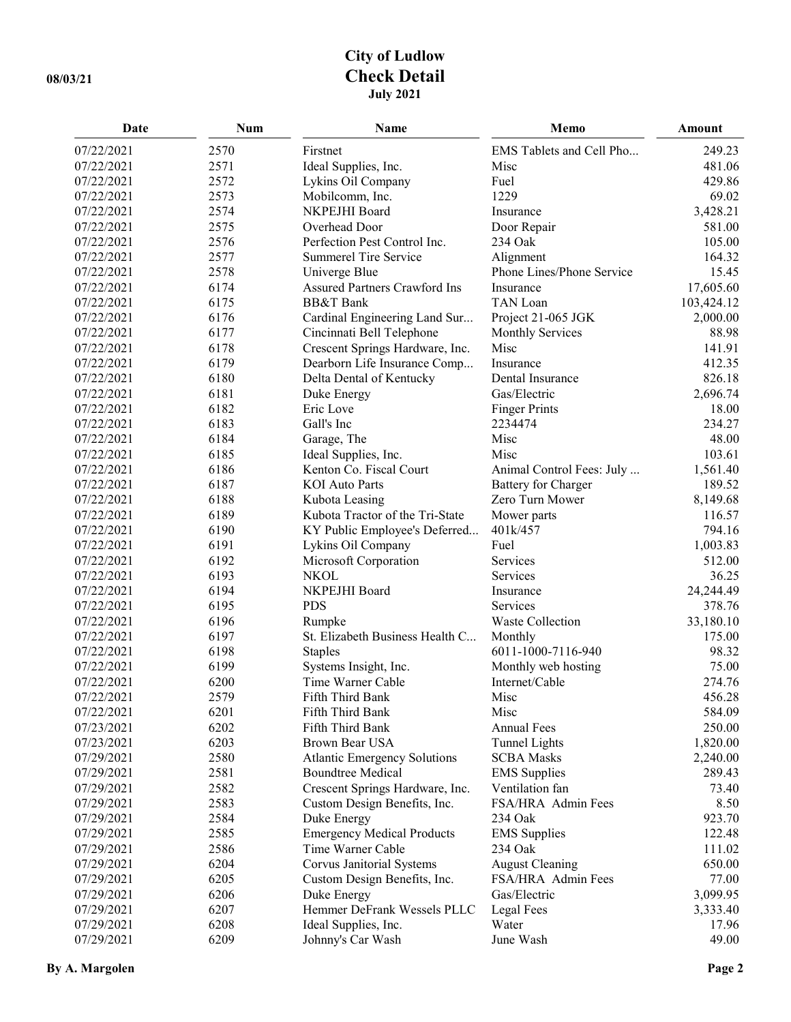## **City of Ludlow 08/03/21 Check Detail July 2021**

| Date       | Num  | Name                                | Memo                      | Amount     |
|------------|------|-------------------------------------|---------------------------|------------|
| 07/22/2021 | 2570 | Firstnet                            | EMS Tablets and Cell Pho  | 249.23     |
| 07/22/2021 | 2571 | Ideal Supplies, Inc.                | Misc                      | 481.06     |
| 07/22/2021 | 2572 | Lykins Oil Company                  | Fuel                      | 429.86     |
| 07/22/2021 | 2573 | Mobilcomm, Inc.                     | 1229                      | 69.02      |
| 07/22/2021 | 2574 | NKPEJHI Board                       | Insurance                 | 3,428.21   |
| 07/22/2021 | 2575 | Overhead Door                       | Door Repair               | 581.00     |
| 07/22/2021 | 2576 | Perfection Pest Control Inc.        | 234 Oak                   | 105.00     |
| 07/22/2021 | 2577 | <b>Summerel Tire Service</b>        | Alignment                 | 164.32     |
| 07/22/2021 | 2578 | Univerge Blue                       | Phone Lines/Phone Service | 15.45      |
| 07/22/2021 | 6174 | Assured Partners Crawford Ins       | Insurance                 | 17,605.60  |
| 07/22/2021 | 6175 | <b>BB&amp;T</b> Bank                | TAN Loan                  | 103,424.12 |
| 07/22/2021 | 6176 | Cardinal Engineering Land Sur       | Project 21-065 JGK        | 2,000.00   |
| 07/22/2021 | 6177 | Cincinnati Bell Telephone           | <b>Monthly Services</b>   | 88.98      |
| 07/22/2021 | 6178 | Crescent Springs Hardware, Inc.     | Misc                      | 141.91     |
| 07/22/2021 | 6179 | Dearborn Life Insurance Comp        | Insurance                 | 412.35     |
| 07/22/2021 | 6180 | Delta Dental of Kentucky            | Dental Insurance          | 826.18     |
| 07/22/2021 | 6181 | Duke Energy                         | Gas/Electric              | 2,696.74   |
| 07/22/2021 | 6182 | Eric Love                           | <b>Finger Prints</b>      | 18.00      |
| 07/22/2021 | 6183 | Gall's Inc                          | 2234474                   | 234.27     |
| 07/22/2021 | 6184 | Garage, The                         | Misc                      | 48.00      |
| 07/22/2021 | 6185 | Ideal Supplies, Inc.                | Misc                      | 103.61     |
| 07/22/2021 | 6186 | Kenton Co. Fiscal Court             | Animal Control Fees: July | 1,561.40   |
| 07/22/2021 | 6187 | <b>KOI</b> Auto Parts               | Battery for Charger       | 189.52     |
| 07/22/2021 | 6188 | Kubota Leasing                      | Zero Turn Mower           | 8,149.68   |
| 07/22/2021 | 6189 | Kubota Tractor of the Tri-State     | Mower parts               | 116.57     |
| 07/22/2021 | 6190 | KY Public Employee's Deferred       | 401k/457                  | 794.16     |
| 07/22/2021 | 6191 | Lykins Oil Company                  | Fuel                      | 1,003.83   |
| 07/22/2021 | 6192 | Microsoft Corporation               | Services                  | 512.00     |
| 07/22/2021 | 6193 | <b>NKOL</b>                         | Services                  | 36.25      |
| 07/22/2021 | 6194 | NKPEJHI Board                       | Insurance                 | 24,244.49  |
| 07/22/2021 | 6195 | <b>PDS</b>                          | Services                  | 378.76     |
| 07/22/2021 | 6196 | Rumpke                              | Waste Collection          | 33,180.10  |
| 07/22/2021 | 6197 | St. Elizabeth Business Health C     | Monthly                   | 175.00     |
| 07/22/2021 | 6198 | <b>Staples</b>                      | 6011-1000-7116-940        | 98.32      |
| 07/22/2021 | 6199 | Systems Insight, Inc.               | Monthly web hosting       | 75.00      |
| 07/22/2021 | 6200 | Time Warner Cable                   | Internet/Cable            | 274.76     |
| 07/22/2021 | 2579 | Fifth Third Bank                    | Misc                      | 456.28     |
| 07/22/2021 | 6201 | Fifth Third Bank                    | Misc                      | 584.09     |
| 07/23/2021 | 6202 | Fifth Third Bank                    | <b>Annual Fees</b>        | 250.00     |
| 07/23/2021 | 6203 | Brown Bear USA                      | <b>Tunnel Lights</b>      | 1,820.00   |
| 07/29/2021 | 2580 | <b>Atlantic Emergency Solutions</b> | <b>SCBA Masks</b>         | 2,240.00   |
| 07/29/2021 | 2581 | <b>Boundtree Medical</b>            | <b>EMS</b> Supplies       | 289.43     |
| 07/29/2021 | 2582 | Crescent Springs Hardware, Inc.     | Ventilation fan           | 73.40      |
| 07/29/2021 | 2583 | Custom Design Benefits, Inc.        | FSA/HRA Admin Fees        | 8.50       |
| 07/29/2021 | 2584 | Duke Energy                         | 234 Oak                   | 923.70     |
| 07/29/2021 | 2585 | <b>Emergency Medical Products</b>   | <b>EMS</b> Supplies       | 122.48     |
| 07/29/2021 | 2586 | Time Warner Cable                   | 234 Oak                   | 111.02     |
| 07/29/2021 | 6204 | Corvus Janitorial Systems           | <b>August Cleaning</b>    | 650.00     |
| 07/29/2021 | 6205 | Custom Design Benefits, Inc.        | FSA/HRA Admin Fees        | 77.00      |
| 07/29/2021 | 6206 | Duke Energy                         | Gas/Electric              | 3,099.95   |
| 07/29/2021 | 6207 | Hemmer DeFrank Wessels PLLC         | <b>Legal Fees</b>         | 3,333.40   |
| 07/29/2021 | 6208 | Ideal Supplies, Inc.                | Water                     | 17.96      |
| 07/29/2021 | 6209 | Johnny's Car Wash                   | June Wash                 | 49.00      |